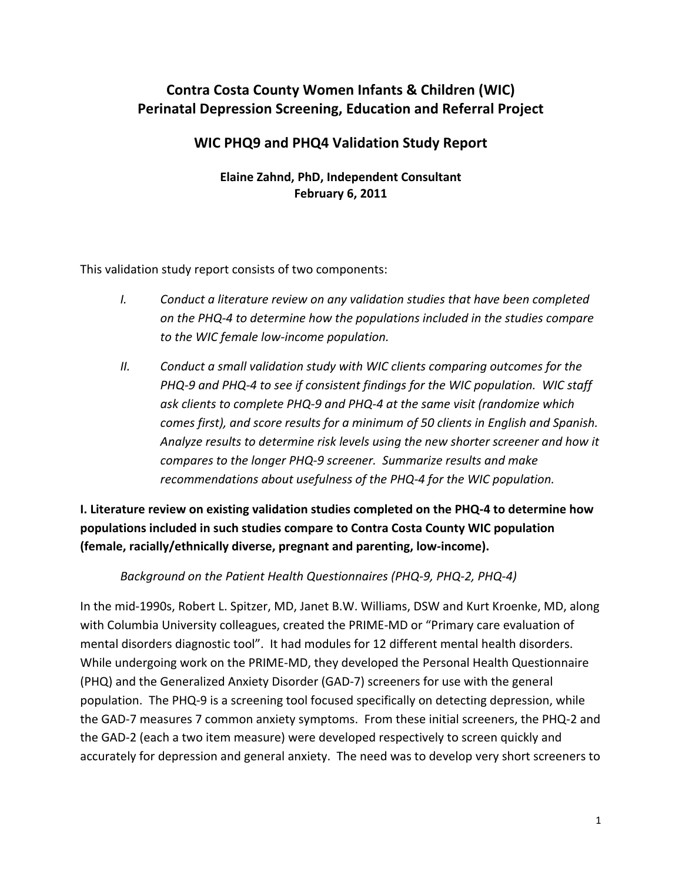# **Contra Costa County Women Infants & Children (WIC) Perinatal Depression Screening, Education and Referral Project**

## **WIC PHQ9 and PHQ4 Validation Study Report**

### **Elaine Zahnd, PhD, Independent Consultant February 6, 2011**

This validation study report consists of two components:

- *I. Conduct a literature review on any validation studies that have been completed on the PHQ‐4 to determine how the populations included in the studies compare to the WIC female low‐income population.*
- *II. Conduct a small validation study with WIC clients comparing outcomes for the PHQ‐9 and PHQ‐4 to see if consistent findings for the WIC population. WIC staff ask clients to complete PHQ‐9 and PHQ‐4 at the same visit (randomize which comes first), and score results for a minimum of 50 clients in English and Spanish. Analyze results to determine risk levels using the new shorter screener and how it compares to the longer PHQ‐9 screener. Summarize results and make recommendations about usefulness of the PHQ‐4 for the WIC population.*

**I. Literature review on existing validation studies completed on the PHQ‐4 to determine how populations included in such studies compare to Contra Costa County WIC population (female, racially/ethnically diverse, pregnant and parenting, low‐income).**

*Background on the Patient Health Questionnaires (PHQ‐9, PHQ‐2, PHQ‐4)*

In the mid‐1990s, Robert L. Spitzer, MD, Janet B.W. Williams, DSW and Kurt Kroenke, MD, along with Columbia University colleagues, created the PRIME‐MD or "Primary care evaluation of mental disorders diagnostic tool". It had modules for 12 different mental health disorders. While undergoing work on the PRIME‐MD, they developed the Personal Health Questionnaire (PHQ) and the Generalized Anxiety Disorder (GAD‐7) screeners for use with the general population. The PHQ-9 is a screening tool focused specifically on detecting depression, while the GAD‐7 measures 7 common anxiety symptoms. From these initial screeners, the PHQ‐2 and the GAD‐2 (each a two item measure) were developed respectively to screen quickly and accurately for depression and general anxiety. The need was to develop very short screeners to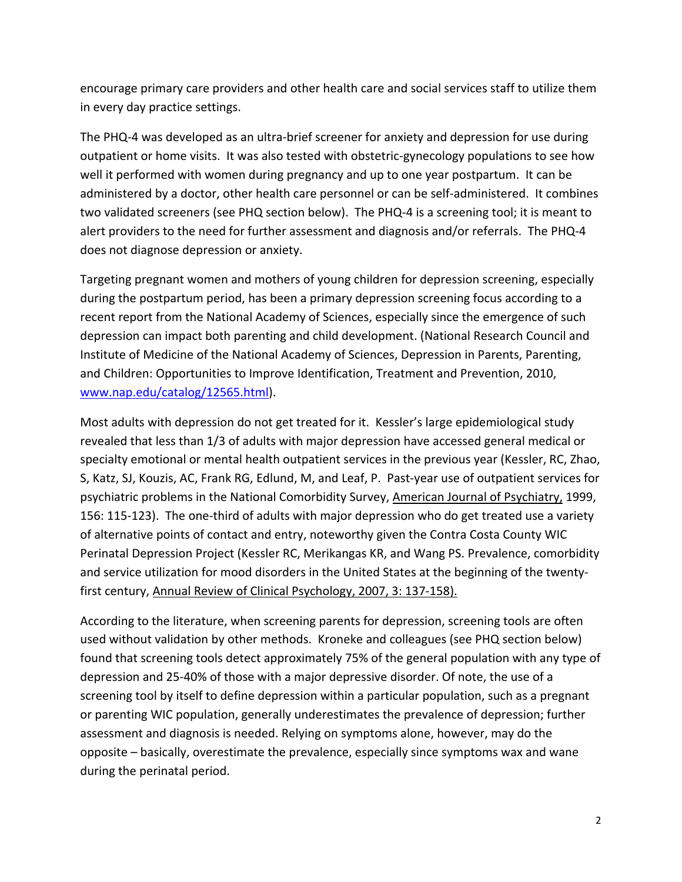encourage primary care providers and other health care and social services staff to utilize them in every day practice settings.

The PHQ-4 was developed as an ultra-brief screener for anxiety and depression for use during outpatient or home visits. It was also tested with obstetric-gynecology populations to see how well it performed with women during pregnancy and up to one year postpartum. It can be administered by a doctor, other health care personnel or can be self‐administered. It combines two validated screeners (see PHQ section below). The PHQ‐4 is a screening tool; it is meant to alert providers to the need for further assessment and diagnosis and/or referrals. The PHQ‐4 does not diagnose depression or anxiety.

Targeting pregnant women and mothers of young children for depression screening, especially during the postpartum period, has been a primary depression screening focus according to a recent report from the National Academy of Sciences, especially since the emergence of such depression can impact both parenting and child development. (National Research Council and Institute of Medicine of the National Academy of Sciences, Depression in Parents, Parenting, and Children: Opportunities to Improve Identification, Treatment and Prevention, 2010, www.nap.edu/catalog/12565.html).

Most adults with depression do not get treated for it. Kessler's large epidemiological study revealed that less than 1/3 of adults with major depression have accessed general medical or specialty emotional or mental health outpatient services in the previous year (Kessler, RC, Zhao, S, Katz, SJ, Kouzis, AC, Frank RG, Edlund, M, and Leaf, P. Past‐year use of outpatient services for psychiatric problems in the National Comorbidity Survey, American Journal of Psychiatry, 1999, 156: 115-123). The one-third of adults with major depression who do get treated use a variety of alternative points of contact and entry, noteworthy given the Contra Costa County WIC Perinatal Depression Project (Kessler RC, Merikangas KR, and Wang PS. Prevalence, comorbidity and service utilization for mood disorders in the United States at the beginning of the twenty‐ first century, Annual Review of Clinical Psychology, 2007, 3: 137‐158).

According to the literature, when screening parents for depression, screening tools are often used without validation by other methods. Kroneke and colleagues (see PHQ section below) found that screening tools detect approximately 75% of the general population with any type of depression and 25‐40% of those with a major depressive disorder. Of note, the use of a screening tool by itself to define depression within a particular population, such as a pregnant or parenting WIC population, generally underestimates the prevalence of depression; further assessment and diagnosis is needed. Relying on symptoms alone, however, may do the opposite – basically, overestimate the prevalence, especially since symptoms wax and wane during the perinatal period.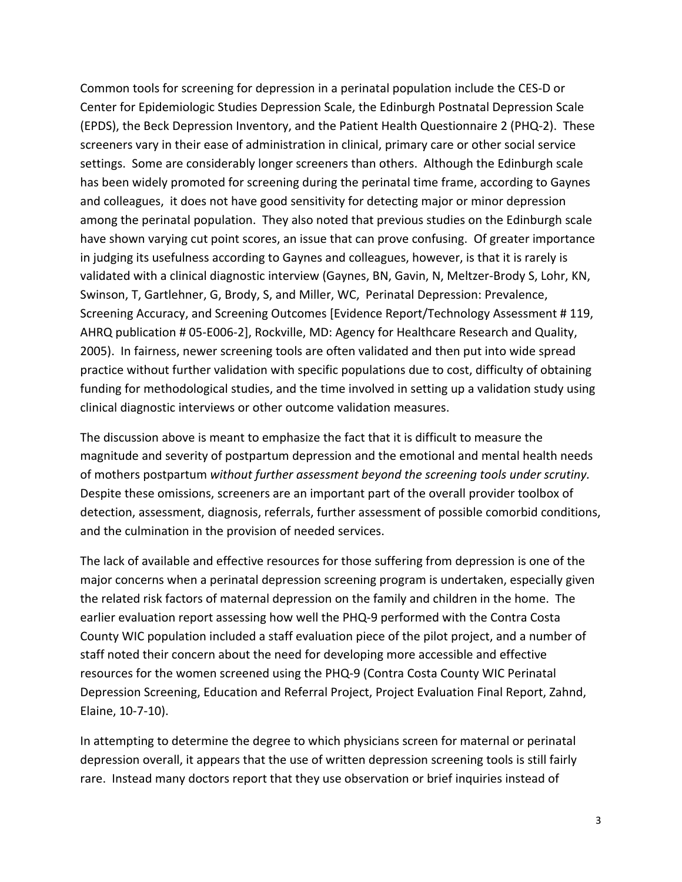Common tools for screening for depression in a perinatal population include the CES‐D or Center for Epidemiologic Studies Depression Scale, the Edinburgh Postnatal Depression Scale (EPDS), the Beck Depression Inventory, and the Patient Health Questionnaire 2 (PHQ‐2). These screeners vary in their ease of administration in clinical, primary care or other social service settings. Some are considerably longer screeners than others. Although the Edinburgh scale has been widely promoted for screening during the perinatal time frame, according to Gaynes and colleagues, it does not have good sensitivity for detecting major or minor depression among the perinatal population. They also noted that previous studies on the Edinburgh scale have shown varying cut point scores, an issue that can prove confusing. Of greater importance in judging its usefulness according to Gaynes and colleagues, however, is that it is rarely is validated with a clinical diagnostic interview (Gaynes, BN, Gavin, N, Meltzer‐Brody S, Lohr, KN, Swinson, T, Gartlehner, G, Brody, S, and Miller, WC, Perinatal Depression: Prevalence, Screening Accuracy, and Screening Outcomes [Evidence Report/Technology Assessment # 119, AHRQ publication # 05‐E006‐2], Rockville, MD: Agency for Healthcare Research and Quality, 2005). In fairness, newer screening tools are often validated and then put into wide spread practice without further validation with specific populations due to cost, difficulty of obtaining funding for methodological studies, and the time involved in setting up a validation study using clinical diagnostic interviews or other outcome validation measures.

The discussion above is meant to emphasize the fact that it is difficult to measure the magnitude and severity of postpartum depression and the emotional and mental health needs of mothers postpartum *without further assessment beyond the screening tools under scrutiny.*  Despite these omissions, screeners are an important part of the overall provider toolbox of detection, assessment, diagnosis, referrals, further assessment of possible comorbid conditions, and the culmination in the provision of needed services.

The lack of available and effective resources for those suffering from depression is one of the major concerns when a perinatal depression screening program is undertaken, especially given the related risk factors of maternal depression on the family and children in the home. The earlier evaluation report assessing how well the PHQ‐9 performed with the Contra Costa County WIC population included a staff evaluation piece of the pilot project, and a number of staff noted their concern about the need for developing more accessible and effective resources for the women screened using the PHQ‐9 (Contra Costa County WIC Perinatal Depression Screening, Education and Referral Project, Project Evaluation Final Report, Zahnd, Elaine, 10‐7‐10).

In attempting to determine the degree to which physicians screen for maternal or perinatal depression overall, it appears that the use of written depression screening tools is still fairly rare. Instead many doctors report that they use observation or brief inquiries instead of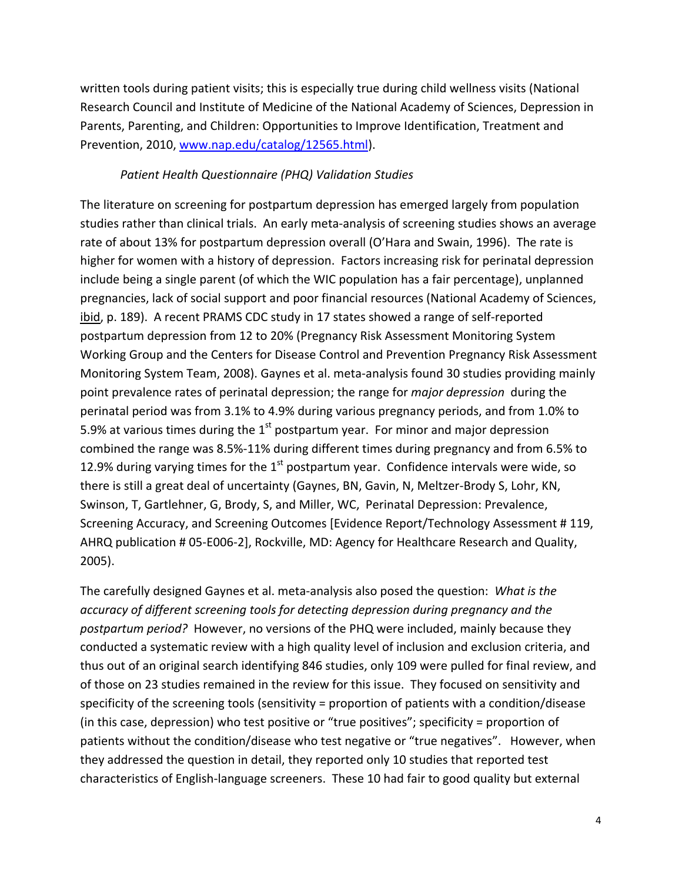written tools during patient visits; this is especially true during child wellness visits (National Research Council and Institute of Medicine of the National Academy of Sciences, Depression in Parents, Parenting, and Children: Opportunities to Improve Identification, Treatment and Prevention, 2010, www.nap.edu/catalog/12565.html).

#### *Patient Health Questionnaire (PHQ) Validation Studies*

The literature on screening for postpartum depression has emerged largely from population studies rather than clinical trials. An early meta‐analysis of screening studies shows an average rate of about 13% for postpartum depression overall (O'Hara and Swain, 1996). The rate is higher for women with a history of depression. Factors increasing risk for perinatal depression include being a single parent (of which the WIC population has a fair percentage), unplanned pregnancies, lack of social support and poor financial resources (National Academy of Sciences, ibid, p. 189). A recent PRAMS CDC study in 17 states showed a range of self-reported postpartum depression from 12 to 20% (Pregnancy Risk Assessment Monitoring System Working Group and the Centers for Disease Control and Prevention Pregnancy Risk Assessment Monitoring System Team, 2008). Gaynes et al. meta‐analysis found 30 studies providing mainly point prevalence rates of perinatal depression; the range for *major depression* during the perinatal period was from 3.1% to 4.9% during various pregnancy periods, and from 1.0% to 5.9% at various times during the  $1<sup>st</sup>$  postpartum year. For minor and major depression combined the range was 8.5%‐11% during different times during pregnancy and from 6.5% to 12.9% during varying times for the  $1<sup>st</sup>$  postpartum year. Confidence intervals were wide, so there is still a great deal of uncertainty (Gaynes, BN, Gavin, N, Meltzer‐Brody S, Lohr, KN, Swinson, T, Gartlehner, G, Brody, S, and Miller, WC, Perinatal Depression: Prevalence, Screening Accuracy, and Screening Outcomes [Evidence Report/Technology Assessment # 119, AHRQ publication # 05‐E006‐2], Rockville, MD: Agency for Healthcare Research and Quality, 2005).

The carefully designed Gaynes et al. meta‐analysis also posed the question: *What is the accuracy of different screening tools for detecting depression during pregnancy and the postpartum period?* However, no versions of the PHQ were included, mainly because they conducted a systematic review with a high quality level of inclusion and exclusion criteria, and thus out of an original search identifying 846 studies, only 109 were pulled for final review, and of those on 23 studies remained in the review for this issue. They focused on sensitivity and specificity of the screening tools (sensitivity = proportion of patients with a condition/disease (in this case, depression) who test positive or "true positives"; specificity = proportion of patients without the condition/disease who test negative or "true negatives". However, when they addressed the question in detail, they reported only 10 studies that reported test characteristics of English‐language screeners. These 10 had fair to good quality but external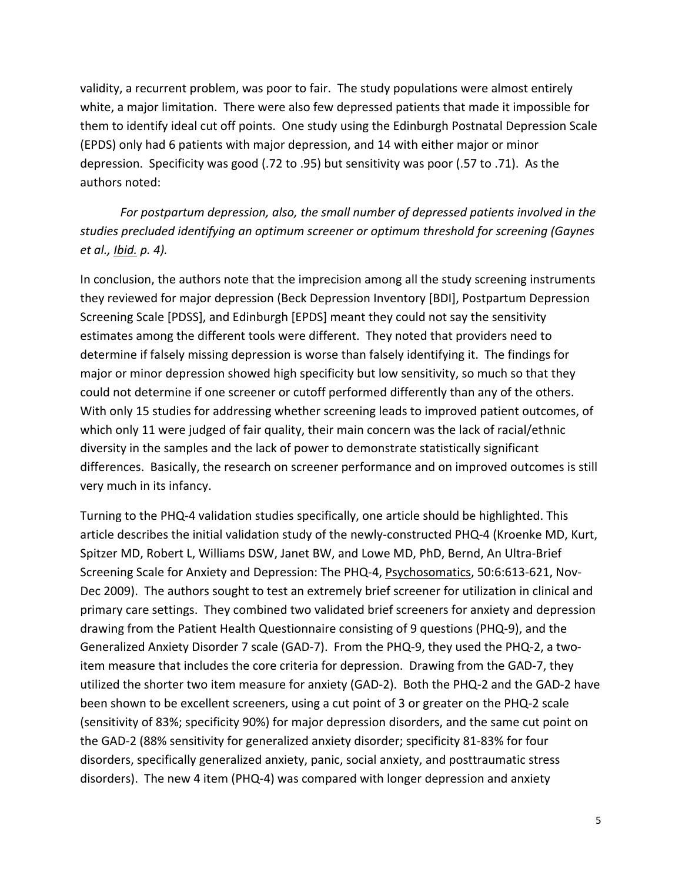validity, a recurrent problem, was poor to fair. The study populations were almost entirely white, a major limitation. There were also few depressed patients that made it impossible for them to identify ideal cut off points. One study using the Edinburgh Postnatal Depression Scale (EPDS) only had 6 patients with major depression, and 14 with either major or minor depression. Specificity was good (.72 to .95) but sensitivity was poor (.57 to .71). As the authors noted:

*For postpartum depression, also, the small number of depressed patients involved in the studies precluded identifying an optimum screener or optimum threshold for screening (Gaynes et al., Ibid. p. 4).*

In conclusion, the authors note that the imprecision among all the study screening instruments they reviewed for major depression (Beck Depression Inventory [BDI], Postpartum Depression Screening Scale [PDSS], and Edinburgh [EPDS] meant they could not say the sensitivity estimates among the different tools were different. They noted that providers need to determine if falsely missing depression is worse than falsely identifying it. The findings for major or minor depression showed high specificity but low sensitivity, so much so that they could not determine if one screener or cutoff performed differently than any of the others. With only 15 studies for addressing whether screening leads to improved patient outcomes, of which only 11 were judged of fair quality, their main concern was the lack of racial/ethnic diversity in the samples and the lack of power to demonstrate statistically significant differences. Basically, the research on screener performance and on improved outcomes is still very much in its infancy.

Turning to the PHQ‐4 validation studies specifically, one article should be highlighted. This article describes the initial validation study of the newly‐constructed PHQ‐4 (Kroenke MD, Kurt, Spitzer MD, Robert L, Williams DSW, Janet BW, and Lowe MD, PhD, Bernd, An Ultra‐Brief Screening Scale for Anxiety and Depression: The PHQ‐4, Psychosomatics, 50:6:613‐621, Nov‐ Dec 2009). The authors sought to test an extremely brief screener for utilization in clinical and primary care settings. They combined two validated brief screeners for anxiety and depression drawing from the Patient Health Questionnaire consisting of 9 questions (PHQ‐9), and the Generalized Anxiety Disorder 7 scale (GAD-7). From the PHQ-9, they used the PHQ-2, a twoitem measure that includes the core criteria for depression. Drawing from the GAD‐7, they utilized the shorter two item measure for anxiety (GAD‐2). Both the PHQ‐2 and the GAD‐2 have been shown to be excellent screeners, using a cut point of 3 or greater on the PHQ‐2 scale (sensitivity of 83%; specificity 90%) for major depression disorders, and the same cut point on the GAD‐2 (88% sensitivity for generalized anxiety disorder; specificity 81‐83% for four disorders, specifically generalized anxiety, panic, social anxiety, and posttraumatic stress disorders). The new 4 item (PHQ‐4) was compared with longer depression and anxiety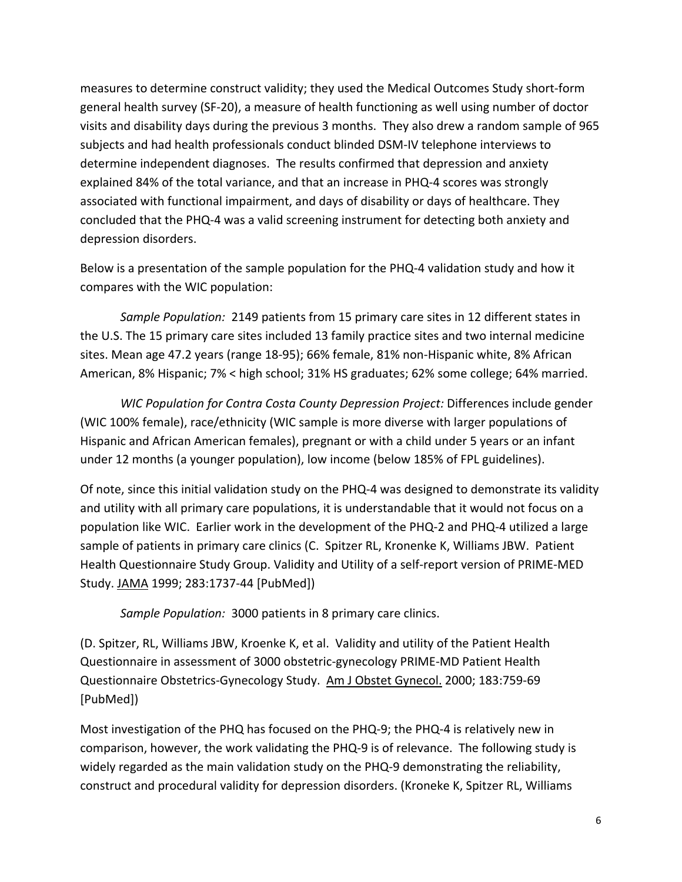measures to determine construct validity; they used the Medical Outcomes Study short‐form general health survey (SF‐20), a measure of health functioning as well using number of doctor visits and disability days during the previous 3 months. They also drew a random sample of 965 subjects and had health professionals conduct blinded DSM‐IV telephone interviews to determine independent diagnoses. The results confirmed that depression and anxiety explained 84% of the total variance, and that an increase in PHQ‐4 scores was strongly associated with functional impairment, and days of disability or days of healthcare. They concluded that the PHQ‐4 was a valid screening instrument for detecting both anxiety and depression disorders.

Below is a presentation of the sample population for the PHQ‐4 validation study and how it compares with the WIC population:

*Sample Population:* 2149 patients from 15 primary care sites in 12 different states in the U.S. The 15 primary care sites included 13 family practice sites and two internal medicine sites. Mean age 47.2 years (range 18‐95); 66% female, 81% non‐Hispanic white, 8% African American, 8% Hispanic; 7% < high school; 31% HS graduates; 62% some college; 64% married.

*WIC Population for Contra Costa County Depression Project:* Differences include gender (WIC 100% female), race/ethnicity (WIC sample is more diverse with larger populations of Hispanic and African American females), pregnant or with a child under 5 years or an infant under 12 months (a younger population), low income (below 185% of FPL guidelines).

Of note, since this initial validation study on the PHQ‐4 was designed to demonstrate its validity and utility with all primary care populations, it is understandable that it would not focus on a population like WIC. Earlier work in the development of the PHQ‐2 and PHQ‐4 utilized a large sample of patients in primary care clinics (C. Spitzer RL, Kronenke K, Williams JBW. Patient Health Questionnaire Study Group. Validity and Utility of a self‐report version of PRIME‐MED Study. JAMA 1999; 283:1737‐44 [PubMed])

*Sample Population:* 3000 patients in 8 primary care clinics.

(D. Spitzer, RL, Williams JBW, Kroenke K, et al. Validity and utility of the Patient Health Questionnaire in assessment of 3000 obstetric‐gynecology PRIME‐MD Patient Health Questionnaire Obstetrics‐Gynecology Study. Am J Obstet Gynecol. 2000; 183:759‐69 [PubMed])

Most investigation of the PHQ has focused on the PHQ‐9; the PHQ‐4 is relatively new in comparison, however, the work validating the PHQ‐9 is of relevance. The following study is widely regarded as the main validation study on the PHQ-9 demonstrating the reliability, construct and procedural validity for depression disorders. (Kroneke K, Spitzer RL, Williams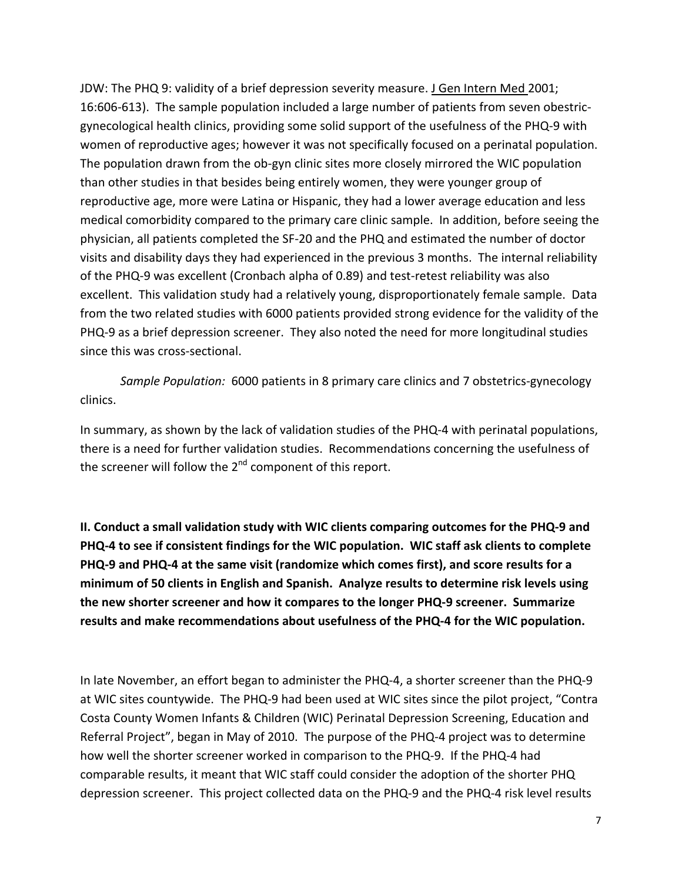JDW: The PHQ 9: validity of a brief depression severity measure. J Gen Intern Med 2001; 16:606‐613). The sample population included a large number of patients from seven obestric‐ gynecological health clinics, providing some solid support of the usefulness of the PHQ‐9 with women of reproductive ages; however it was not specifically focused on a perinatal population. The population drawn from the ob‐gyn clinic sites more closely mirrored the WIC population than other studies in that besides being entirely women, they were younger group of reproductive age, more were Latina or Hispanic, they had a lower average education and less medical comorbidity compared to the primary care clinic sample. In addition, before seeing the physician, all patients completed the SF‐20 and the PHQ and estimated the number of doctor visits and disability days they had experienced in the previous 3 months. The internal reliability of the PHQ‐9 was excellent (Cronbach alpha of 0.89) and test‐retest reliability was also excellent. This validation study had a relatively young, disproportionately female sample. Data from the two related studies with 6000 patients provided strong evidence for the validity of the PHQ‐9 as a brief depression screener. They also noted the need for more longitudinal studies since this was cross‐sectional.

*Sample Population:* 6000 patients in 8 primary care clinics and 7 obstetrics‐gynecology clinics.

In summary, as shown by the lack of validation studies of the PHQ‐4 with perinatal populations, there is a need for further validation studies. Recommendations concerning the usefulness of the screener will follow the  $2<sup>nd</sup>$  component of this report.

**II. Conduct a small validation study with WIC clients comparing outcomes for the PHQ‐9 and** PHQ-4 to see if consistent findings for the WIC population. WIC staff ask clients to complete PHQ-9 and PHQ-4 at the same visit (randomize which comes first), and score results for a **minimum of 50 clients in English and Spanish. Analyze results to determine risk levels using the new shorter screener and how it compares to the longer PHQ‐9 screener. Summarize results and make recommendations about usefulness of the PHQ‐4 for the WIC population.**

In late November, an effort began to administer the PHQ‐4, a shorter screener than the PHQ‐9 at WIC sites countywide. The PHQ‐9 had been used at WIC sites since the pilot project, "Contra Costa County Women Infants & Children (WIC) Perinatal Depression Screening, Education and Referral Project", began in May of 2010. The purpose of the PHQ‐4 project was to determine how well the shorter screener worked in comparison to the PHQ‐9. If the PHQ‐4 had comparable results, it meant that WIC staff could consider the adoption of the shorter PHQ depression screener. This project collected data on the PHQ‐9 and the PHQ‐4 risk level results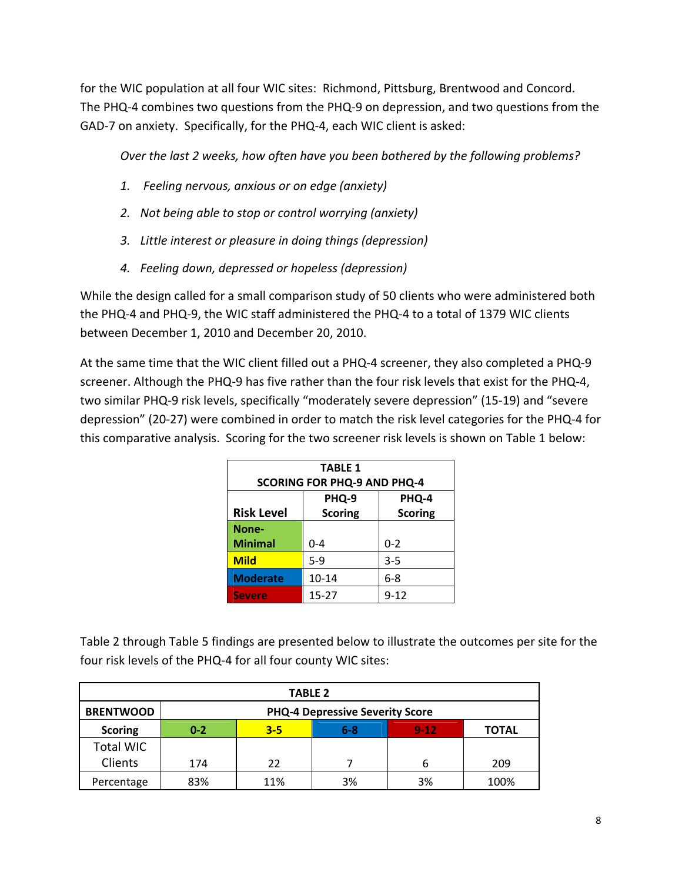for the WIC population at all four WIC sites: Richmond, Pittsburg, Brentwood and Concord. The PHQ‐4 combines two questions from the PHQ‐9 on depression, and two questions from the GAD‐7 on anxiety. Specifically, for the PHQ‐4, each WIC client is asked:

*Over the last 2 weeks, how often have you been bothered by the following problems?*

- *1. Feeling nervous, anxious or on edge (anxiety)*
- *2. Not being able to stop or control worrying (anxiety)*
- *3. Little interest or pleasure in doing things (depression)*
- *4. Feeling down, depressed or hopeless (depression)*

While the design called for a small comparison study of 50 clients who were administered both the PHQ‐4 and PHQ‐9, the WIC staff administered the PHQ‐4 to a total of 1379 WIC clients between December 1, 2010 and December 20, 2010.

At the same time that the WIC client filled out a PHQ‐4 screener, they also completed a PHQ‐9 screener. Although the PHQ‐9 has five rather than the four risk levels that exist for the PHQ‐4, two similar PHQ‐9 risk levels, specifically "moderately severe depression" (15‐19) and "severe depression" (20‐27) were combined in order to match the risk level categories for the PHQ‐4 for this comparative analysis. Scoring for the two screener risk levels is shown on Table 1 below:

| <b>TABLE 1</b>                     |                |          |  |  |  |  |  |
|------------------------------------|----------------|----------|--|--|--|--|--|
| <b>SCORING FOR PHQ-9 AND PHQ-4</b> |                |          |  |  |  |  |  |
| PHQ-9<br>PHQ-4                     |                |          |  |  |  |  |  |
| <b>Risk Level</b>                  | <b>Scoring</b> |          |  |  |  |  |  |
| None-                              |                |          |  |  |  |  |  |
| <b>Minimal</b>                     | $0 - 4$        | $0 - 2$  |  |  |  |  |  |
| <b>Mild</b>                        | $5-9$          | $3 - 5$  |  |  |  |  |  |
| <b>Moderate</b>                    | $10 - 14$      | $6 - 8$  |  |  |  |  |  |
| <b>Severe</b>                      | 15-27          | $9 - 12$ |  |  |  |  |  |

Table 2 through Table 5 findings are presented below to illustrate the outcomes per site for the four risk levels of the PHQ‐4 for all four county WIC sites:

| <b>TABLE 2</b>   |         |                                        |       |          |              |  |  |
|------------------|---------|----------------------------------------|-------|----------|--------------|--|--|
| <b>BRENTWOOD</b> |         | <b>PHQ-4 Depressive Severity Score</b> |       |          |              |  |  |
| <b>Scoring</b>   | $0 - 2$ | $3 - 5$                                | $6-8$ | $9 - 12$ | <b>TOTAL</b> |  |  |
| <b>Total WIC</b> |         |                                        |       |          |              |  |  |
| Clients          | 174     | 22                                     |       | 6        | 209          |  |  |
| Percentage       | 83%     | 11%                                    | 3%    | 3%       | 100%         |  |  |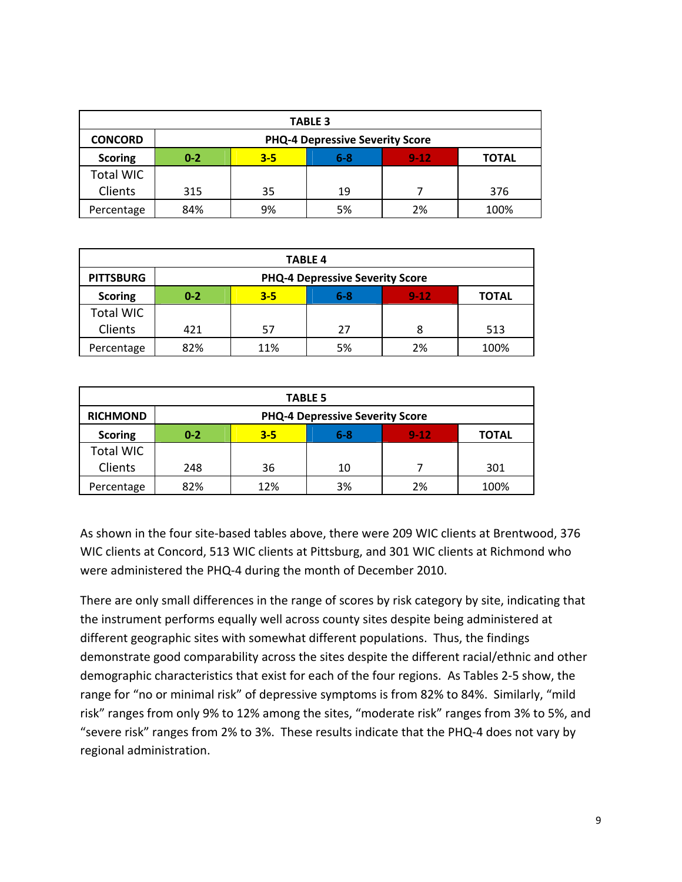| <b>TABLE 3</b>   |                                        |         |         |          |              |  |  |
|------------------|----------------------------------------|---------|---------|----------|--------------|--|--|
| <b>CONCORD</b>   | <b>PHQ-4 Depressive Severity Score</b> |         |         |          |              |  |  |
| <b>Scoring</b>   | $0 - 2$                                | $3 - 5$ | $6 - 8$ | $9 - 12$ | <b>TOTAL</b> |  |  |
| <b>Total WIC</b> |                                        |         |         |          |              |  |  |
| Clients          | 315                                    | 35      | 19      |          | 376          |  |  |
| Percentage       | 84%                                    | 9%      | 5%      | 2%       | 100%         |  |  |

| <b>TABLE 4</b>   |                                        |                                            |    |    |      |  |  |
|------------------|----------------------------------------|--------------------------------------------|----|----|------|--|--|
| <b>PITTSBURG</b> | <b>PHQ-4 Depressive Severity Score</b> |                                            |    |    |      |  |  |
| <b>Scoring</b>   | $0 - 2$                                | $9 - 12$<br>$3 - 5$<br>6-8<br><b>TOTAL</b> |    |    |      |  |  |
| <b>Total WIC</b> |                                        |                                            |    |    |      |  |  |
| Clients          | 421                                    | 57                                         | 27 | 8  | 513  |  |  |
| Percentage       | 82%                                    | 11%                                        | 5% | 2% | 100% |  |  |

| <b>TABLE 5</b>   |                                        |         |     |          |              |  |  |
|------------------|----------------------------------------|---------|-----|----------|--------------|--|--|
| <b>RICHMOND</b>  | <b>PHQ-4 Depressive Severity Score</b> |         |     |          |              |  |  |
| <b>Scoring</b>   | $0 - 2$                                | $3 - 5$ | 6-8 | $9 - 12$ | <b>TOTAL</b> |  |  |
| <b>Total WIC</b> |                                        |         |     |          |              |  |  |
| Clients          | 248                                    | 36      | 10  |          | 301          |  |  |
| Percentage       | 82%                                    | 12%     | 3%  | 2%       | 100%         |  |  |

As shown in the four site‐based tables above, there were 209 WIC clients at Brentwood, 376 WIC clients at Concord, 513 WIC clients at Pittsburg, and 301 WIC clients at Richmond who were administered the PHQ‐4 during the month of December 2010.

There are only small differences in the range of scores by risk category by site, indicating that the instrument performs equally well across county sites despite being administered at different geographic sites with somewhat different populations. Thus, the findings demonstrate good comparability across the sites despite the different racial/ethnic and other demographic characteristics that exist for each of the four regions. As Tables 2‐5 show, the range for "no or minimal risk" of depressive symptoms is from 82% to 84%. Similarly, "mild risk" ranges from only 9% to 12% among the sites, "moderate risk" ranges from 3% to 5%, and "severe risk" ranges from 2% to 3%. These results indicate that the PHQ‐4 does not vary by regional administration.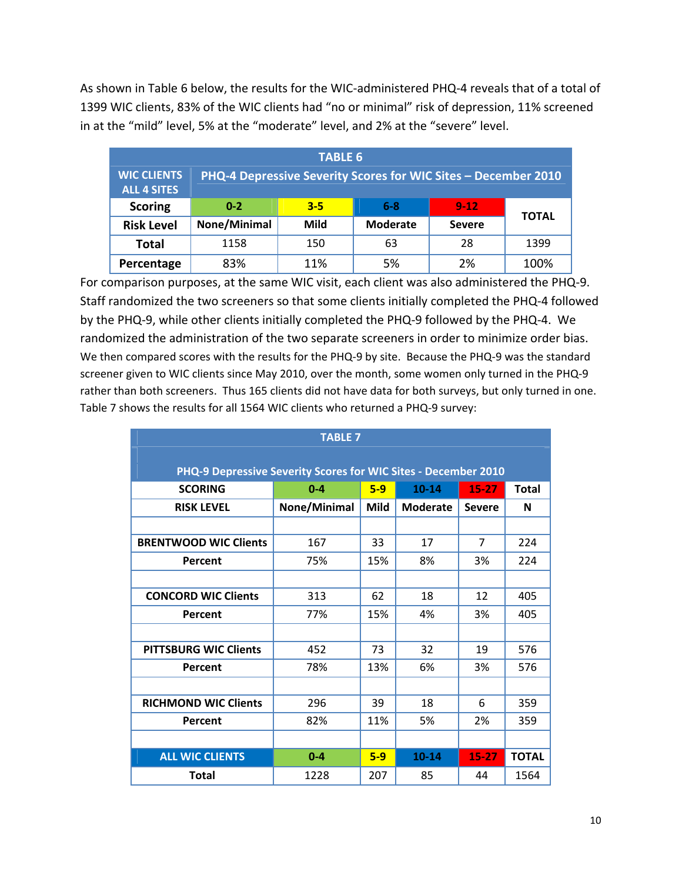As shown in Table 6 below, the results for the WIC‐administered PHQ‐4 reveals that of a total of 1399 WIC clients, 83% of the WIC clients had "no or minimal" risk of depression, 11% screened in at the "mild" level, 5% at the "moderate" level, and 2% at the "severe" level.

| <b>TABLE 6</b>                           |                                                                |         |                 |               |              |  |  |
|------------------------------------------|----------------------------------------------------------------|---------|-----------------|---------------|--------------|--|--|
| <b>WIC CLIENTS</b><br><b>ALL 4 SITES</b> | PHQ-4 Depressive Severity Scores for WIC Sites - December 2010 |         |                 |               |              |  |  |
| <b>Scoring</b>                           | $0 - 2$                                                        | $3 - 5$ | $6 - 8$         | $9 - 12$      | <b>TOTAL</b> |  |  |
| <b>Risk Level</b>                        | None/Minimal                                                   | Mild    | <b>Moderate</b> | <b>Severe</b> |              |  |  |
| <b>Total</b>                             | 1158                                                           | 150     | 63              | 28            | 1399         |  |  |
| Percentage                               | 83%                                                            | 11%     | 5%              | 2%            | 100%         |  |  |

For comparison purposes, at the same WIC visit, each client was also administered the PHQ‐9. Staff randomized the two screeners so that some clients initially completed the PHQ‐4 followed by the PHQ‐9, while other clients initially completed the PHQ‐9 followed by the PHQ‐4. We randomized the administration of the two separate screeners in order to minimize order bias. We then compared scores with the results for the PHQ-9 by site. Because the PHQ-9 was the standard screener given to WIC clients since May 2010, over the month, some women only turned in the PHQ‐9 rather than both screeners. Thus 165 clients did not have data for both surveys, but only turned in one. Table 7 shows the results for all 1564 WIC clients who returned a PHQ‐9 survey:

| <b>TABLE 7</b>                                                               |              |       |                 |                |              |  |  |  |
|------------------------------------------------------------------------------|--------------|-------|-----------------|----------------|--------------|--|--|--|
|                                                                              |              |       |                 |                |              |  |  |  |
| PHQ-9 Depressive Severity Scores for WIC Sites - December 2010               |              |       |                 |                |              |  |  |  |
| $5-9$<br>$15 - 27$<br>$10 - 14$<br><b>SCORING</b><br>$0 - 4$<br><b>Total</b> |              |       |                 |                |              |  |  |  |
| <b>RISK LEVEL</b>                                                            | None/Minimal | Mild  | <b>Moderate</b> | <b>Severe</b>  | N            |  |  |  |
|                                                                              |              |       |                 |                |              |  |  |  |
| <b>BRENTWOOD WIC Clients</b>                                                 | 167          | 33    | 17              | $\overline{7}$ | 224          |  |  |  |
| Percent                                                                      | 75%          | 15%   | 8%              | 3%             | 224          |  |  |  |
|                                                                              |              |       |                 |                |              |  |  |  |
| <b>CONCORD WIC Clients</b>                                                   | 313          | 62    | 18              | 12             | 405          |  |  |  |
| Percent                                                                      | 77%          | 15%   | 4%              | 3%             | 405          |  |  |  |
|                                                                              |              |       |                 |                |              |  |  |  |
| <b>PITTSBURG WIC Clients</b>                                                 | 452          | 73    | 32              | 19             | 576          |  |  |  |
| Percent                                                                      | 78%          | 13%   | 6%              | 3%             | 576          |  |  |  |
|                                                                              |              |       |                 |                |              |  |  |  |
| <b>RICHMOND WIC Clients</b>                                                  | 296          | 39    | 18              | 6              | 359          |  |  |  |
| Percent                                                                      | 82%          | 11%   | 5%              | 2%             | 359          |  |  |  |
|                                                                              |              |       |                 |                |              |  |  |  |
| <b>ALL WIC CLIENTS</b>                                                       | $0 - 4$      | $5-9$ | 10-14           | $15 - 27$      | <b>TOTAL</b> |  |  |  |
| <b>Total</b>                                                                 | 1228         | 207   | 85              | 44             | 1564         |  |  |  |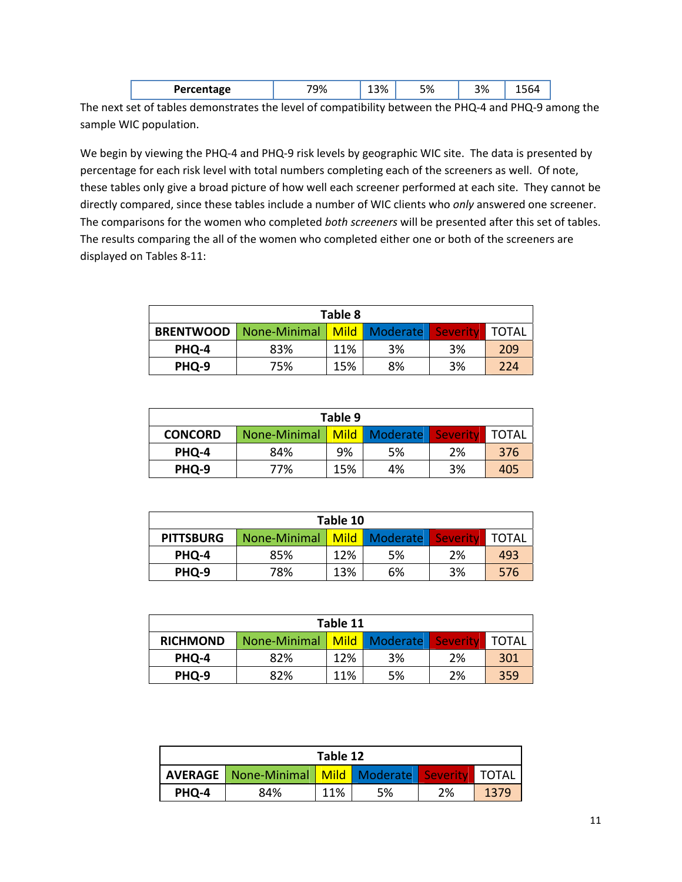| <b>BAHA</b> | <br>770 | , U | 70- ل | ~~<br>71 |  |
|-------------|---------|-----|-------|----------|--|
|             |         |     |       |          |  |

The next set of tables demonstrates the level of compatibility between the PHQ‐4 and PHQ‐9 among the sample WIC population.

We begin by viewing the PHQ-4 and PHQ-9 risk levels by geographic WIC site. The data is presented by percentage for each risk level with total numbers completing each of the screeners as well. Of note, these tables only give a broad picture of how well each screener performed at each site. They cannot be directly compared, since these tables include a number of WIC clients who *only* answered one screener. The comparisons for the women who completed *both screeners* will be presented after this set of tables. The results comparing the all of the women who completed either one or both of the screeners are displayed on Tables 8‐11:

| Table 8          |                                |     |    |          |         |  |  |  |
|------------------|--------------------------------|-----|----|----------|---------|--|--|--|
| <b>BRENTWOOD</b> | None-Minimal   Mild   Moderate |     |    | Severity | I TOTAL |  |  |  |
| PHO-4            | 83%                            | 11% | 3% | 3%       | 209     |  |  |  |
| PHQ-9            | 75%                            | 15% | 8% | 3%       | 224     |  |  |  |

| Table 9        |                                           |     |    |    |       |  |  |  |
|----------------|-------------------------------------------|-----|----|----|-------|--|--|--|
| <b>CONCORD</b> | None-Minimal   Mild   Moderate   Severity |     |    |    | TOTAL |  |  |  |
| PHQ-4          | 84%                                       | 9%  | 5% | 2% | 376   |  |  |  |
| PHQ-9          | 77%                                       | 15% | 4% | 3% | 405   |  |  |  |

| Table 10         |              |     |               |          |              |  |  |  |
|------------------|--------------|-----|---------------|----------|--------------|--|--|--|
| <b>PITTSBURG</b> | None-Minimal |     | Mild Moderate | Severity | <b>TOTAL</b> |  |  |  |
| PHQ-4            | 85%          | 12% | 5%            | 2%       | 493          |  |  |  |
| PHQ-9            | 78%          | 13% | 6%            | 3%       | 576          |  |  |  |

| Table 11        |              |     |                                    |    |     |  |  |  |
|-----------------|--------------|-----|------------------------------------|----|-----|--|--|--|
| <b>RICHMOND</b> | None-Minimal |     | Mild   Moderate   Severity   TOTAL |    |     |  |  |  |
| PHO-4           | 82%          | 12% | 3%                                 | 2% | 301 |  |  |  |
| PHO-9           | 82%          | 11% | 5%                                 | 2% | 359 |  |  |  |

| Table 12 |                                                                    |     |    |    |      |  |  |
|----------|--------------------------------------------------------------------|-----|----|----|------|--|--|
|          | <b>AVERAGE</b>   None-Minimal   Mild   Moderate   Severity   TOTAL |     |    |    |      |  |  |
| PHO-4    | 84%                                                                | 11% | 5% | 2% | 1379 |  |  |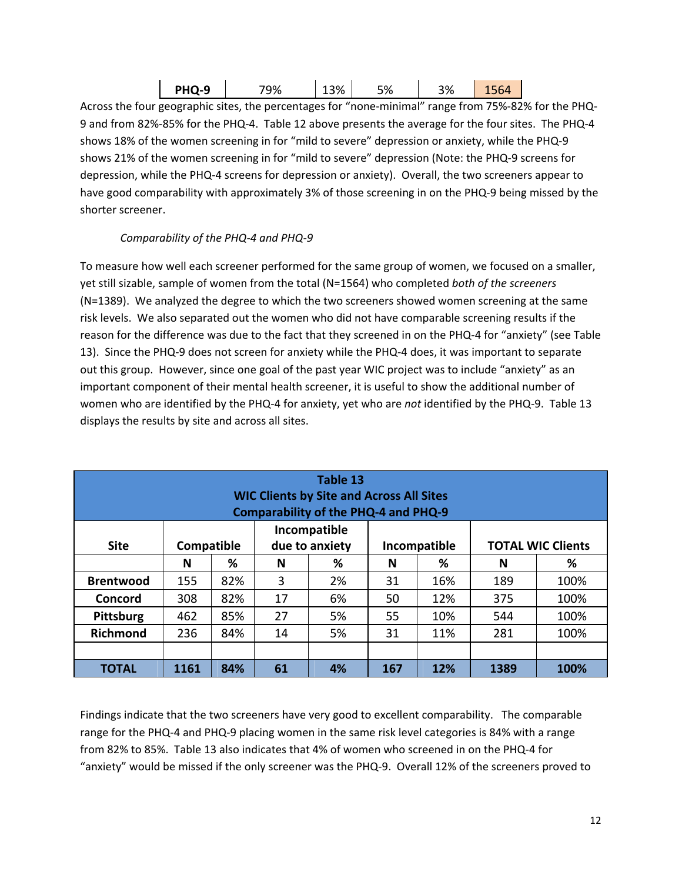| <b>-</b><br>$  -$<br>. | <b>PHQ-9</b> | 'Q% | $\mathcal{L}_{\mathcal{A}}$ | .<br>%د | १% |  |
|------------------------|--------------|-----|-----------------------------|---------|----|--|
|------------------------|--------------|-----|-----------------------------|---------|----|--|

Across the four geographic sites, the percentages for "none‐minimal" range from 75%‐82% for the PHQ‐ 9 and from 82%‐85% for the PHQ‐4. Table 12 above presents the average for the four sites. The PHQ‐4 shows 18% of the women screening in for "mild to severe" depression or anxiety, while the PHQ‐9 shows 21% of the women screening in for "mild to severe" depression (Note: the PHQ‐9 screens for depression, while the PHQ‐4 screens for depression or anxiety). Overall, the two screeners appear to have good comparability with approximately 3% of those screening in on the PHQ-9 being missed by the shorter screener.

#### *Comparability of the PHQ‐4 and PHQ‐9*

To measure how well each screener performed for the same group of women, we focused on a smaller, yet still sizable, sample of women from the total (N=1564) who completed *both of the screeners* (N=1389). We analyzed the degree to which the two screeners showed women screening at the same risk levels. We also separated out the women who did not have comparable screening results if the reason for the difference was due to the fact that they screened in on the PHQ‐4 for "anxiety" (see Table 13). Since the PHQ‐9 does not screen for anxiety while the PHQ‐4 does, it was important to separate out this group. However, since one goal of the past year WIC project was to include "anxiety" as an important component of their mental health screener, it is useful to show the additional number of women who are identified by the PHQ‐4 for anxiety, yet who are *not* identified by the PHQ‐9. Table 13 displays the results by site and across all sites.

| Table 13<br><b>WIC Clients by Site and Across All Sites</b><br><b>Comparability of the PHQ-4 and PHQ-9</b> |            |     |                |    |              |     |                          |      |
|------------------------------------------------------------------------------------------------------------|------------|-----|----------------|----|--------------|-----|--------------------------|------|
|                                                                                                            |            |     | Incompatible   |    |              |     |                          |      |
| <b>Site</b>                                                                                                | Compatible |     | due to anxiety |    | Incompatible |     | <b>TOTAL WIC Clients</b> |      |
|                                                                                                            | N          | ℅   | N              | %  | N            | ℅   | N                        | %    |
| <b>Brentwood</b>                                                                                           | 155        | 82% | 3              | 2% | 31           | 16% | 189                      | 100% |
| Concord                                                                                                    | 308        | 82% | 17             | 6% | 50           | 12% | 375                      | 100% |
| Pittsburg                                                                                                  | 462        | 85% | 27             | 5% | 55           | 10% | 544                      | 100% |
| <b>Richmond</b>                                                                                            | 236        | 84% | 14             | 5% | 31           | 11% | 281                      | 100% |
|                                                                                                            |            |     |                |    |              |     |                          |      |
| <b>TOTAL</b>                                                                                               | 1161       | 84% | 61             | 4% | 167          | 12% | 1389                     | 100% |

Findings indicate that the two screeners have very good to excellent comparability. The comparable range for the PHQ‐4 and PHQ‐9 placing women in the same risk level categories is 84% with a range from 82% to 85%. Table 13 also indicates that 4% of women who screened in on the PHQ‐4 for "anxiety" would be missed if the only screener was the PHQ‐9. Overall 12% of the screeners proved to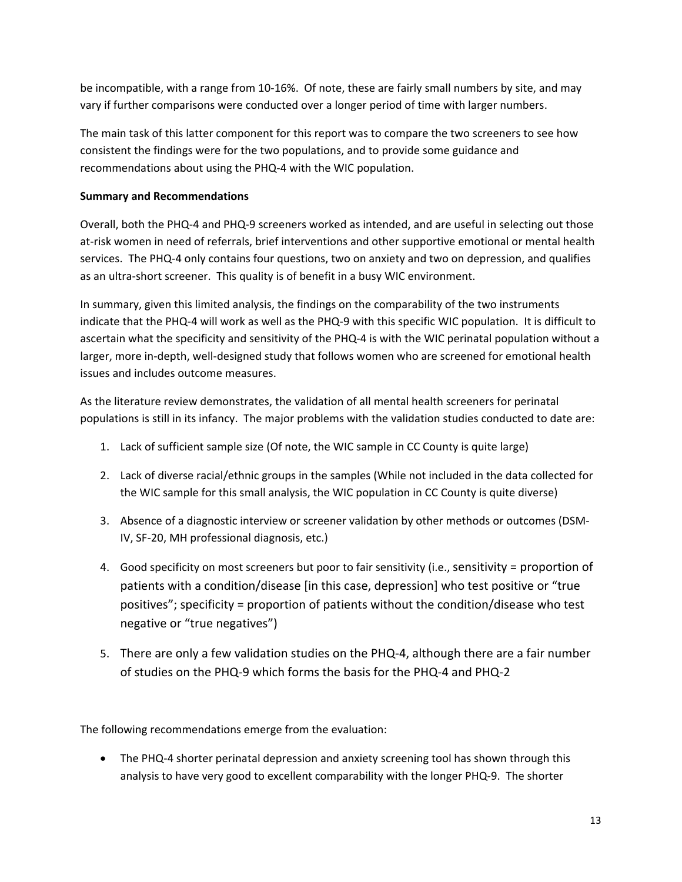be incompatible, with a range from 10-16%. Of note, these are fairly small numbers by site, and may vary if further comparisons were conducted over a longer period of time with larger numbers.

The main task of this latter component for this report was to compare the two screeners to see how consistent the findings were for the two populations, and to provide some guidance and recommendations about using the PHQ‐4 with the WIC population.

#### **Summary and Recommendations**

Overall, both the PHQ‐4 and PHQ‐9 screeners worked as intended, and are useful in selecting out those at-risk women in need of referrals, brief interventions and other supportive emotional or mental health services. The PHQ-4 only contains four questions, two on anxiety and two on depression, and qualifies as an ultra‐short screener. This quality is of benefit in a busy WIC environment.

In summary, given this limited analysis, the findings on the comparability of the two instruments indicate that the PHQ‐4 will work as well as the PHQ‐9 with this specific WIC population. It is difficult to ascertain what the specificity and sensitivity of the PHQ‐4 is with the WIC perinatal population without a larger, more in‐depth, well‐designed study that follows women who are screened for emotional health issues and includes outcome measures.

As the literature review demonstrates, the validation of all mental health screeners for perinatal populations is still in its infancy. The major problems with the validation studies conducted to date are:

- 1. Lack of sufficient sample size (Of note, the WIC sample in CC County is quite large)
- 2. Lack of diverse racial/ethnic groups in the samples (While not included in the data collected for the WIC sample for this small analysis, the WIC population in CC County is quite diverse)
- 3. Absence of a diagnostic interview or screener validation by other methods or outcomes (DSM‐ IV, SF‐20, MH professional diagnosis, etc.)
- 4. Good specificity on most screeners but poor to fair sensitivity (i.e., sensitivity = proportion of patients with a condition/disease [in this case, depression] who test positive or "true positives"; specificity = proportion of patients without the condition/disease who test negative or "true negatives")
- 5. There are only a few validation studies on the PHQ-4, although there are a fair number of studies on the PHQ‐9 which forms the basis for the PHQ‐4 and PHQ‐2

The following recommendations emerge from the evaluation:

• The PHQ-4 shorter perinatal depression and anxiety screening tool has shown through this analysis to have very good to excellent comparability with the longer PHQ‐9. The shorter